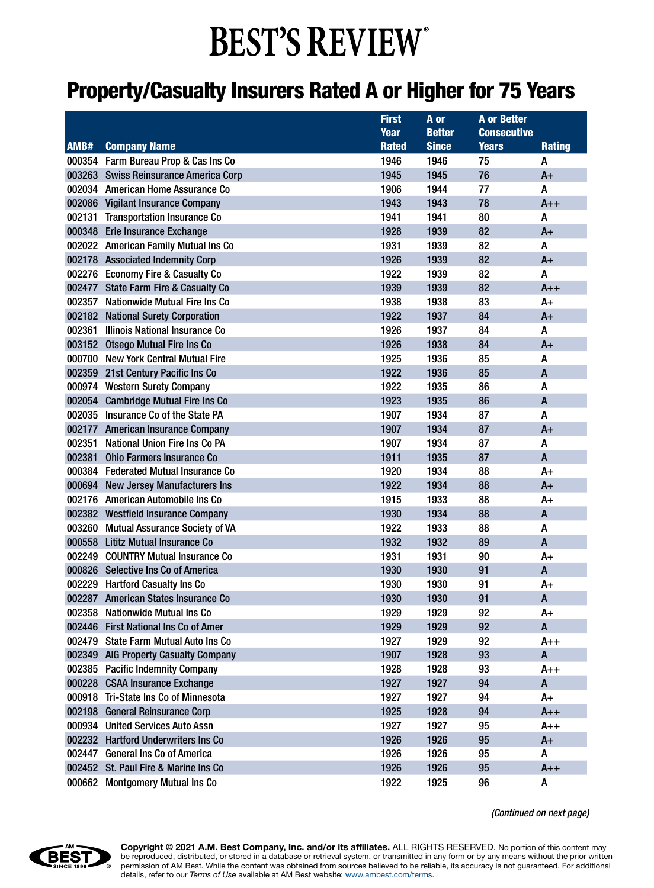# **BEST'S REVIEW®**

## Property/Casualty Insurers Rated A or Higher for 75 Years

|        |                                       | <b>First</b>         | A or                          | <b>A or Better</b>                 |                    |
|--------|---------------------------------------|----------------------|-------------------------------|------------------------------------|--------------------|
| AMB#   | <b>Company Name</b>                   | Year<br><b>Rated</b> | <b>Better</b><br><b>Since</b> | <b>Consecutive</b><br><b>Years</b> | <b>Rating</b>      |
|        | 000354 Farm Bureau Prop & Cas Ins Co  | 1946                 | 1946                          | 75                                 | Α                  |
|        | 003263 Swiss Reinsurance America Corp | 1945                 | 1945                          | 76                                 | $A+$               |
|        | 002034 American Home Assurance Co     | 1906                 | 1944                          | 77                                 | A                  |
|        | 002086 Vigilant Insurance Company     | 1943                 | 1943                          | 78                                 | $A++$              |
|        | 002131 Transportation Insurance Co    | 1941                 | 1941                          | 80                                 | A                  |
|        | 000348 Erie Insurance Exchange        | 1928                 | 1939                          | 82                                 | $A+$               |
|        | 002022 American Family Mutual Ins Co  | 1931                 | 1939                          | 82                                 | A                  |
|        | 002178 Associated Indemnity Corp      | 1926                 | 1939                          | 82                                 | $A+$               |
|        | 002276 Economy Fire & Casualty Co     | 1922                 | 1939                          | 82                                 | A                  |
|        | 002477 State Farm Fire & Casualty Co  | 1939                 | 1939                          | 82                                 | $A++$              |
|        | 002357 Nationwide Mutual Fire Ins Co  | 1938                 | 1938                          | 83                                 | A+                 |
|        | 002182 National Surety Corporation    | 1922                 | 1937                          | 84                                 | $A+$               |
| 002361 | <b>Illinois National Insurance Co</b> | 1926                 | 1937                          | 84                                 | A                  |
|        | 003152 Otsego Mutual Fire Ins Co      | 1926                 | 1938                          | 84                                 | $A+$               |
|        | 000700 New York Central Mutual Fire   | 1925                 | 1936                          | 85                                 | A                  |
|        | 002359 21st Century Pacific Ins Co    | 1922                 | 1936                          | 85                                 | $\overline{A}$     |
|        | 000974 Western Surety Company         | 1922                 | 1935                          | 86                                 | A                  |
|        | 002054 Cambridge Mutual Fire Ins Co   | 1923                 | 1935                          | 86                                 | $\pmb{\mathsf{A}}$ |
|        | 002035 Insurance Co of the State PA   | 1907                 | 1934                          | 87                                 | A                  |
|        | 002177 American Insurance Company     | 1907                 | 1934                          | 87                                 | $A+$               |
| 002351 | National Union Fire Ins Co PA         | 1907                 | 1934                          | 87                                 | A                  |
| 002381 | <b>Ohio Farmers Insurance Co</b>      | 1911                 | 1935                          | 87                                 | A                  |
|        | 000384 Federated Mutual Insurance Co  | 1920                 | 1934                          | 88                                 | A+                 |
|        | 000694 New Jersey Manufacturers Ins   | 1922                 | 1934                          | 88                                 | $A+$               |
|        | 002176 American Automobile Ins Co     | 1915                 | 1933                          | 88                                 | $A+$               |
|        | 002382 Westfield Insurance Company    | 1930                 | 1934                          | 88                                 | $\pmb{\mathsf{A}}$ |
|        | 003260 Mutual Assurance Society of VA | 1922                 | 1933                          | 88                                 | A                  |
|        | 000558 Lititz Mutual Insurance Co     | 1932                 | 1932                          | 89                                 | $\pmb{\mathsf{A}}$ |
|        | 002249 COUNTRY Mutual Insurance Co    | 1931                 | 1931                          | 90                                 | $A+$               |
|        | 000826 Selective Ins Co of America    | 1930                 | 1930                          | 91                                 | A                  |
|        | 002229 Hartford Casualty Ins Co       | 1930                 | 1930                          | 91                                 | $A+$               |
|        | 002287 American States Insurance Co   | 1930                 | 1930                          | 91                                 | A                  |
| 002358 | <b>Nationwide Mutual Ins Co</b>       | 1929                 | 1929                          | 92                                 | A+                 |
|        | 002446 First National Ins Co of Amer  | 1929                 | 1929                          | 92                                 | A                  |
|        | 002479 State Farm Mutual Auto Ins Co  | 1927                 | 1929                          | 92                                 | $A++$              |
|        | 002349 AIG Property Casualty Company  | 1907                 | 1928                          | 93                                 | A                  |
|        | 002385 Pacific Indemnity Company      | 1928                 | 1928                          | 93                                 | $A++$              |
|        | 000228 CSAA Insurance Exchange        | 1927                 | 1927                          | 94                                 | A                  |
|        | 000918 Tri-State Ins Co of Minnesota  | 1927                 | 1927                          | 94                                 | $A+$               |
|        | 002198 General Reinsurance Corp       | 1925                 | 1928                          | 94                                 | $A++$              |
|        | 000934 United Services Auto Assn      | 1927                 | 1927                          | 95                                 | A++                |
|        | 002232 Hartford Underwriters Ins Co   | 1926                 | 1926                          | 95                                 | $A+$               |
|        | 002447 General Ins Co of America      | 1926                 | 1926                          | 95                                 | A                  |
|        | 002452 St. Paul Fire & Marine Ins Co  | 1926                 | 1926                          | 95                                 | $A++$              |
|        | 000662 Montgomery Mutual Ins Co       | 1922                 | 1925                          | 96                                 | A                  |

*(Continued on next page)*



Copyright © 2021 A.M. Best Company, Inc. and/or its affiliates. ALL RIGHTS RESERVED. No portion of this content may<br>be reproduced, distributed, or stored in a database or retrieval system, or transmitted in any form or by permission of AM Best. While the content was obtained from sources believed to be reliable, its accuracy is not guaranteed. For additional details, refer to our *Terms of Use* available at AM Best website: www.ambest.com/terms.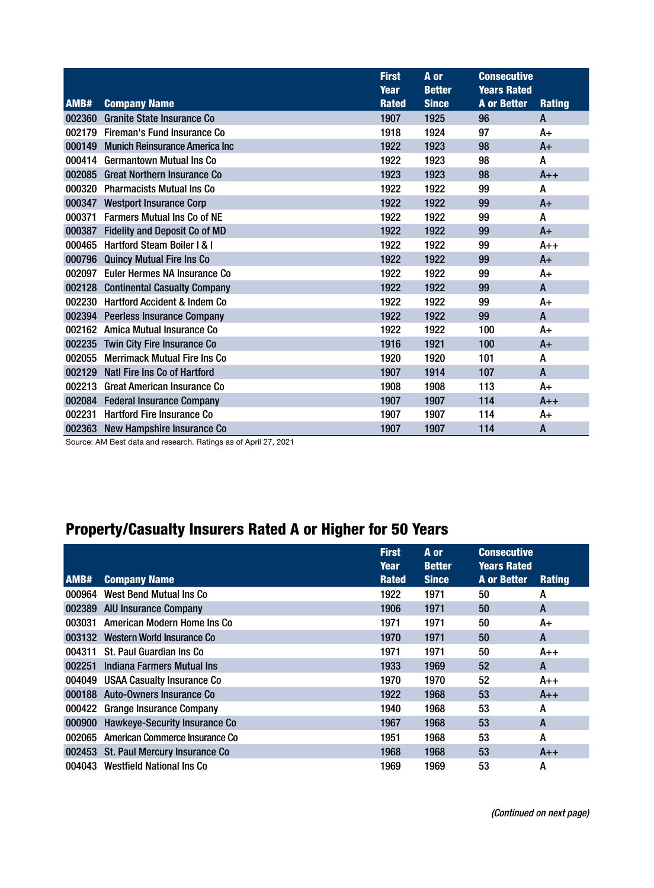|        |                                                          | <b>First</b>                | A or                          | <b>Consecutive</b>                       |                |
|--------|----------------------------------------------------------|-----------------------------|-------------------------------|------------------------------------------|----------------|
| AMB#   | <b>Company Name</b>                                      | <b>Year</b><br><b>Rated</b> | <b>Better</b><br><b>Since</b> | <b>Years Rated</b><br><b>A</b> or Better | <b>Rating</b>  |
| 002360 | <b>Granite State Insurance Co</b>                        | 1907                        | 1925                          | 96                                       | A              |
| 002179 | Fireman's Fund Insurance Co.                             | 1918                        | 1924                          | 97                                       | A+             |
| 000149 | <b>Munich Reinsurance America Inc.</b>                   | 1922                        | 1923                          | 98                                       | $A+$           |
| 000414 | <b>Germantown Mutual Ins Co</b>                          | 1922                        | 1923                          | 98                                       | A              |
| 002085 | <b>Great Northern Insurance Co</b>                       | 1923                        | 1923                          | 98                                       | $A++$          |
| 000320 | <b>Pharmacists Mutual Ins Co.</b>                        | 1922                        | 1922                          | 99                                       | A              |
| 000347 | <b>Westport Insurance Corp</b>                           | 1922                        | 1922                          | 99                                       | $A+$           |
| 000371 | <b>Farmers Mutual Ins Co of NE</b>                       | 1922                        | 1922                          | 99                                       | A              |
| 000387 | Fidelity and Deposit Co of MD                            | 1922                        | 1922                          | 99                                       | $A+$           |
| 000465 | <b>Hartford Steam Boiler I &amp; I</b>                   | 1922                        | 1922                          | 99                                       | $A++$          |
| 000796 | <b>Quincy Mutual Fire Ins Co</b>                         | 1922                        | 1922                          | 99                                       | $A+$           |
| 002097 | Euler Hermes NA Insurance Co                             | 1922                        | 1922                          | 99                                       | A+             |
| 002128 | <b>Continental Casualty Company</b>                      | 1922                        | 1922                          | 99                                       | $\overline{A}$ |
| 002230 | <b>Hartford Accident &amp; Indem Co</b>                  | 1922                        | 1922                          | 99                                       | A+             |
| 002394 | <b>Peerless Insurance Company</b>                        | 1922                        | 1922                          | 99                                       | A              |
| 002162 | Amica Mutual Insurance Co                                | 1922                        | 1922                          | 100                                      | A+             |
| 002235 | Twin City Fire Insurance Co                              | 1916                        | 1921                          | 100                                      | $A+$           |
| 002055 | <b>Merrimack Mutual Fire Ins Co.</b>                     | 1920                        | 1920                          | 101                                      | A              |
| 002129 | Natl Fire Ins Co of Hartford                             | 1907                        | 1914                          | 107                                      | A              |
| 002213 | <b>Great American Insurance Co</b>                       | 1908                        | 1908                          | 113                                      | A+             |
|        | 002084 Federal Insurance Company                         | 1907                        | 1907                          | 114                                      | $A++$          |
| 002231 | <b>Hartford Fire Insurance Co</b>                        | 1907                        | 1907                          | 114                                      | A+             |
| 002363 | New Hampshire Insurance Co<br>$\cdots$ $\cdots$ $\cdots$ | 1907                        | 1907                          | 114                                      | A              |

Source: AM Best data and research. Ratings as of April 27, 2021

### Property/Casualty Insurers Rated A or Higher for 50 Years

|        |                                   | <b>First</b><br>Year | A or<br><b>Better</b> | <b>Consecutive</b><br><b>Years Rated</b> |               |
|--------|-----------------------------------|----------------------|-----------------------|------------------------------------------|---------------|
| AMB#   | <b>Company Name</b>               | <b>Rated</b>         | <b>Since</b>          | <b>A or Better</b>                       | <b>Rating</b> |
| 000964 | West Bend Mutual Ins Co.          | 1922                 | 1971                  | 50                                       | A             |
| 002389 | <b>AIU Insurance Company</b>      | 1906                 | 1971                  | 50                                       | A             |
| 003031 | American Modern Home Ins Co       | 1971                 | 1971                  | 50                                       | A+            |
| 003132 | Western World Insurance Co        | 1970                 | 1971                  | 50                                       | A             |
| 004311 | St. Paul Guardian Ins Co.         | 1971                 | 1971                  | 50                                       | $A++$         |
| 002251 | Indiana Farmers Mutual Ins        | 1933                 | 1969                  | 52                                       | A             |
| 004049 | <b>USAA Casualty Insurance Co</b> | 1970                 | 1970                  | 52                                       | $A++$         |
| 000188 | Auto-Owners Insurance Co          | 1922                 | 1968                  | 53                                       | $A++$         |
| 000422 | <b>Grange Insurance Company</b>   | 1940                 | 1968                  | 53                                       | A             |
| 000900 | Hawkeye-Security Insurance Co     | 1967                 | 1968                  | 53                                       | A             |
| 002065 | American Commerce Insurance Co    | 1951                 | 1968                  | 53                                       | A             |
| 002453 | St. Paul Mercury Insurance Co     | 1968                 | 1968                  | 53                                       | $A++$         |
| 004043 | <b>Westfield National Ins Co</b>  | 1969                 | 1969                  | 53                                       | A             |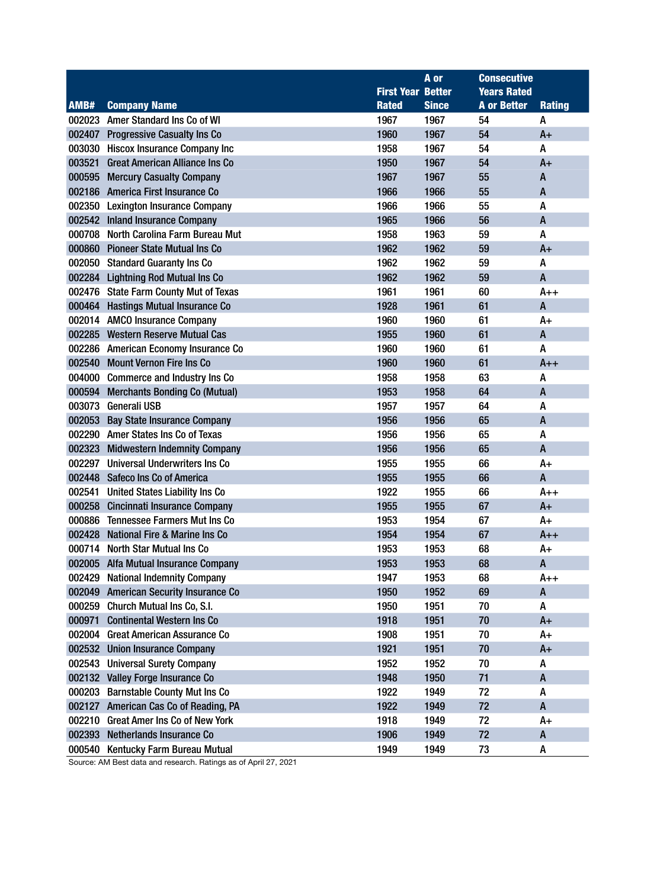|        |                                       |                          | A or         | <b>Consecutive</b> |                           |
|--------|---------------------------------------|--------------------------|--------------|--------------------|---------------------------|
|        |                                       | <b>First Year Better</b> |              | <b>Years Rated</b> |                           |
| AMB#   | <b>Company Name</b>                   | <b>Rated</b>             | <b>Since</b> | <b>A or Better</b> | <b>Rating</b>             |
|        | 002023 Amer Standard Ins Co of WI     | 1967                     | 1967         | 54                 | A                         |
|        | 002407 Progressive Casualty Ins Co    | 1960                     | 1967         | 54                 | $A+$                      |
|        | 003030 Hiscox Insurance Company Inc   | 1958                     | 1967         | 54                 | A                         |
| 003521 | <b>Great American Alliance Ins Co</b> | 1950                     | 1967         | 54                 | $A+$                      |
| 000595 | <b>Mercury Casualty Company</b>       | 1967                     | 1967         | 55                 | A                         |
|        | 002186 America First Insurance Co     | 1966                     | 1966         | 55                 | A                         |
|        | 002350 Lexington Insurance Company    | 1966                     | 1966         | 55                 | A                         |
|        | 002542 Inland Insurance Company       | 1965                     | 1966         | 56                 | A                         |
| 000708 | North Carolina Farm Bureau Mut        | 1958                     | 1963         | 59                 | A                         |
|        | 000860 Pioneer State Mutual Ins Co    | 1962                     | 1962         | 59                 | $A+$                      |
| 002050 | <b>Standard Guaranty Ins Co</b>       | 1962                     | 1962         | 59                 | A                         |
|        | 002284 Lightning Rod Mutual Ins Co    | 1962                     | 1962         | 59                 | A                         |
|        | 002476 State Farm County Mut of Texas | 1961                     | 1961         | 60                 | A++                       |
|        | 000464 Hastings Mutual Insurance Co   | 1928                     | 1961         | 61                 | A                         |
|        | 002014 AMCO Insurance Company         | 1960                     | 1960         | 61                 | $A+$                      |
|        | 002285 Western Reserve Mutual Cas     | 1955                     | 1960         | 61                 | A                         |
|        | 002286 American Economy Insurance Co  | 1960                     | 1960         | 61                 | A                         |
| 002540 | <b>Mount Vernon Fire Ins Co</b>       | 1960                     | 1960         | 61                 | $A++$                     |
|        | 004000 Commerce and Industry Ins Co   | 1958                     | 1958         | 63                 | A                         |
|        | 000594 Merchants Bonding Co (Mutual)  | 1953                     | 1958         | 64                 | A                         |
|        | 003073 Generali USB                   | 1957                     | 1957         | 64                 | A                         |
|        | 002053 Bay State Insurance Company    | 1956                     | 1956         | 65                 | $\overline{A}$            |
|        | 002290 Amer States Ins Co of Texas    | 1956                     | 1956         | 65                 | A                         |
|        | 002323 Midwestern Indemnity Company   | 1956                     | 1956         | 65                 | A                         |
|        | 002297 Universal Underwriters Ins Co  | 1955                     | 1955         | 66                 | $A+$                      |
|        | 002448 Safeco Ins Co of America       | 1955                     | 1955         | 66                 | A                         |
|        | 002541 United States Liability Ins Co | 1922                     | 1955         | 66                 | $A++$                     |
| 000258 | <b>Cincinnati Insurance Company</b>   | 1955                     | 1955         | 67                 | $A+$                      |
| 000886 | <b>Tennessee Farmers Mut Ins Co</b>   | 1953                     | 1954         | 67                 | $A+$                      |
|        | 002428 National Fire & Marine Ins Co  | 1954                     | 1954         | 67                 | $A++$                     |
|        | 000714 North Star Mutual Ins Co       | 1953                     | 1953         | 68                 | A+                        |
|        | 002005 Alfa Mutual Insurance Company  | 1953                     | 1953         | 68                 | A                         |
|        | 002429 National Indemnity Company     | 1947                     | 1953         | 68                 | $A++$                     |
|        | 002049 American Security Insurance Co | 1950                     | 1952         | 69                 | A                         |
|        | 000259 Church Mutual Ins Co, S.I.     | 1950                     | 1951         | 70                 | A                         |
| 000971 | <b>Continental Western Ins Co</b>     | 1918                     | 1951         | 70                 | $A+$                      |
|        | 002004 Great American Assurance Co    | 1908                     | 1951         | 70                 | A+                        |
|        | 002532 Union Insurance Company        | 1921                     | 1951         | 70                 | $A+$                      |
|        | 002543 Universal Surety Company       | 1952                     | 1952         | 70                 | A                         |
|        | 002132 Valley Forge Insurance Co      | 1948                     | 1950         | 71                 | A                         |
| 000203 | <b>Barnstable County Mut Ins Co</b>   | 1922                     | 1949         | 72                 | A                         |
|        | 002127 American Cas Co of Reading, PA | 1922                     | 1949         | 72                 | $\boldsymbol{\mathsf{A}}$ |
|        | 002210 Great Amer Ins Co of New York  | 1918                     | 1949         | 72                 | A+                        |
| 002393 | <b>Netherlands Insurance Co</b>       | 1906                     | 1949         | 72                 | $\pmb{\mathsf{A}}$        |
|        | 000540 Kentucky Farm Bureau Mutual    | 1949                     | 1949         | 73                 | A                         |
|        |                                       |                          |              |                    |                           |

Source: AM Best data and research. Ratings as of April 27, 2021